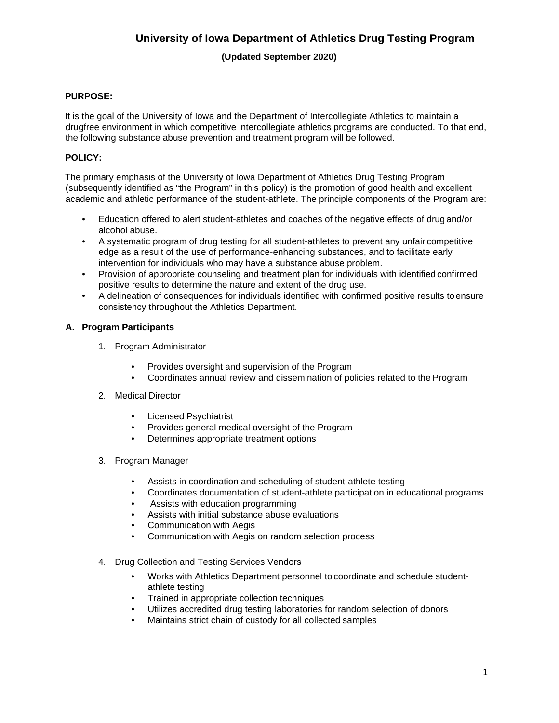# **University of Iowa Department of Athletics Drug Testing Program**

### **(Updated September 2020)**

### **PURPOSE:**

It is the goal of the University of Iowa and the Department of Intercollegiate Athletics to maintain a drugfree environment in which competitive intercollegiate athletics programs are conducted. To that end, the following substance abuse prevention and treatment program will be followed.

### **POLICY:**

The primary emphasis of the University of Iowa Department of Athletics Drug Testing Program (subsequently identified as "the Program" in this policy) is the promotion of good health and excellent academic and athletic performance of the student-athlete. The principle components of the Program are:

- Education offered to alert student-athletes and coaches of the negative effects of drug and/or alcohol abuse.
- A systematic program of drug testing for all student-athletes to prevent any unfair competitive edge as a result of the use of performance-enhancing substances, and to facilitate early intervention for individuals who may have a substance abuse problem.
- Provision of appropriate counseling and treatment plan for individuals with identified confirmed positive results to determine the nature and extent of the drug use.
- A delineation of consequences for individuals identified with confirmed positive results toensure consistency throughout the Athletics Department.

### **A. Program Participants**

- 1. Program Administrator
	- Provides oversight and supervision of the Program
	- Coordinates annual review and dissemination of policies related to the Program

### 2. Medical Director

- Licensed Psychiatrist
- Provides general medical oversight of the Program
- Determines appropriate treatment options
- 3. Program Manager
	- Assists in coordination and scheduling of student-athlete testing
	- Coordinates documentation of student-athlete participation in educational programs
	- Assists with education programming
	- Assists with initial substance abuse evaluations
	- Communication with Aegis
	- Communication with Aegis on random selection process
- 4. Drug Collection and Testing Services Vendors
	- Works with Athletics Department personnel to coordinate and schedule studentathlete testing
	- Trained in appropriate collection techniques
	- Utilizes accredited drug testing laboratories for random selection of donors
	- Maintains strict chain of custody for all collected samples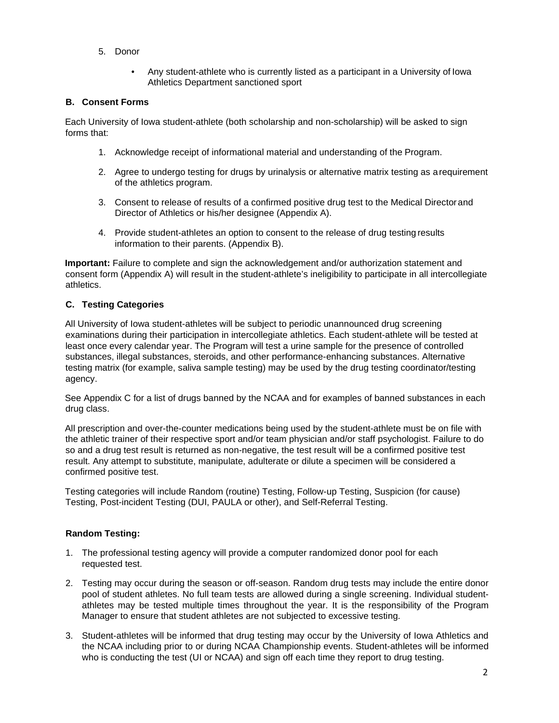- 5. Donor
	- Any student-athlete who is currently listed as a participant in a University of Iowa Athletics Department sanctioned sport

### **B. Consent Forms**

Each University of Iowa student-athlete (both scholarship and non-scholarship) will be asked to sign forms that:

- 1. Acknowledge receipt of informational material and understanding of the Program.
- 2. Agree to undergo testing for drugs by urinalysis or alternative matrix testing as arequirement of the athletics program.
- 3. Consent to release of results of a confirmed positive drug test to the Medical Directorand Director of Athletics or his/her designee (Appendix A).
- 4. Provide student-athletes an option to consent to the release of drug testing results information to their parents. (Appendix B).

**Important:** Failure to complete and sign the acknowledgement and/or authorization statement and consent form (Appendix A) will result in the student-athlete's ineligibility to participate in all intercollegiate athletics.

### **C. Testing Categories**

All University of Iowa student-athletes will be subject to periodic unannounced drug screening examinations during their participation in intercollegiate athletics. Each student-athlete will be tested at least once every calendar year. The Program will test a urine sample for the presence of controlled substances, illegal substances, steroids, and other performance-enhancing substances. Alternative testing matrix (for example, saliva sample testing) may be used by the drug testing coordinator/testing agency.

See Appendix C for a list of drugs banned by the NCAA and for examples of banned substances in each drug class.

All prescription and over-the-counter medications being used by the student-athlete must be on file with the athletic trainer of their respective sport and/or team physician and/or staff psychologist. Failure to do so and a drug test result is returned as non-negative, the test result will be a confirmed positive test result. Any attempt to substitute, manipulate, adulterate or dilute a specimen will be considered a confirmed positive test.

Testing categories will include Random (routine) Testing, Follow-up Testing, Suspicion (for cause) Testing, Post-incident Testing (DUI, PAULA or other), and Self-Referral Testing.

### **Random Testing:**

- 1. The professional testing agency will provide a computer randomized donor pool for each requested test.
- 2. Testing may occur during the season or off-season. Random drug tests may include the entire donor pool of student athletes. No full team tests are allowed during a single screening. Individual studentathletes may be tested multiple times throughout the year. It is the responsibility of the Program Manager to ensure that student athletes are not subjected to excessive testing.
- 3. Student-athletes will be informed that drug testing may occur by the University of Iowa Athletics and the NCAA including prior to or during NCAA Championship events. Student-athletes will be informed who is conducting the test (UI or NCAA) and sign off each time they report to drug testing.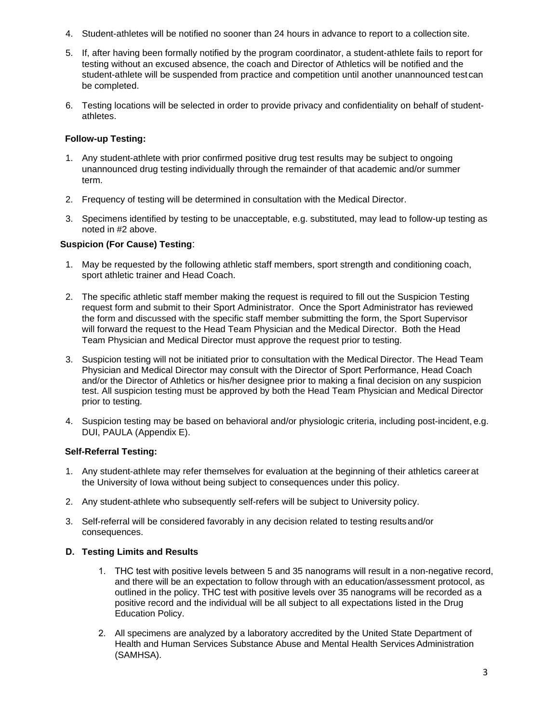- 4. Student-athletes will be notified no sooner than 24 hours in advance to report to a collection site.
- 5. If, after having been formally notified by the program coordinator, a student-athlete fails to report for testing without an excused absence, the coach and Director of Athletics will be notified and the student-athlete will be suspended from practice and competition until another unannounced testcan be completed.
- 6. Testing locations will be selected in order to provide privacy and confidentiality on behalf of studentathletes.

### **Follow-up Testing:**

- 1. Any student-athlete with prior confirmed positive drug test results may be subject to ongoing unannounced drug testing individually through the remainder of that academic and/or summer term.
- 2. Frequency of testing will be determined in consultation with the Medical Director.
- 3. Specimens identified by testing to be unacceptable, e.g. substituted, may lead to follow-up testing as noted in #2 above.

### **Suspicion (For Cause) Testing**:

- 1. May be requested by the following athletic staff members, sport strength and conditioning coach, sport athletic trainer and Head Coach.
- 2. The specific athletic staff member making the request is required to fill out the Suspicion Testing request form and submit to their Sport Administrator. Once the Sport Administrator has reviewed the form and discussed with the specific staff member submitting the form, the Sport Supervisor will forward the request to the Head Team Physician and the Medical Director. Both the Head Team Physician and Medical Director must approve the request prior to testing.
- 3. Suspicion testing will not be initiated prior to consultation with the Medical Director. The Head Team Physician and Medical Director may consult with the Director of Sport Performance, Head Coach and/or the Director of Athletics or his/her designee prior to making a final decision on any suspicion test. All suspicion testing must be approved by both the Head Team Physician and Medical Director prior to testing.
- 4. Suspicion testing may be based on behavioral and/or physiologic criteria, including post-incident, e.g. DUI, PAULA (Appendix E).

### **Self-Referral Testing:**

- 1. Any student-athlete may refer themselves for evaluation at the beginning of their athletics careerat the University of Iowa without being subject to consequences under this policy.
- 2. Any student-athlete who subsequently self-refers will be subject to University policy.
- 3. Self-referral will be considered favorably in any decision related to testing resultsand/or consequences.

### **D. Testing Limits and Results**

- 1. THC test with positive levels between 5 and 35 nanograms will result in a non-negative record, and there will be an expectation to follow through with an education/assessment protocol, as outlined in the policy. THC test with positive levels over 35 nanograms will be recorded as a positive record and the individual will be all subject to all expectations listed in the Drug Education Policy.
- 2. All specimens are analyzed by a laboratory accredited by the United State Department of Health and Human Services Substance Abuse and Mental Health Services Administration (SAMHSA).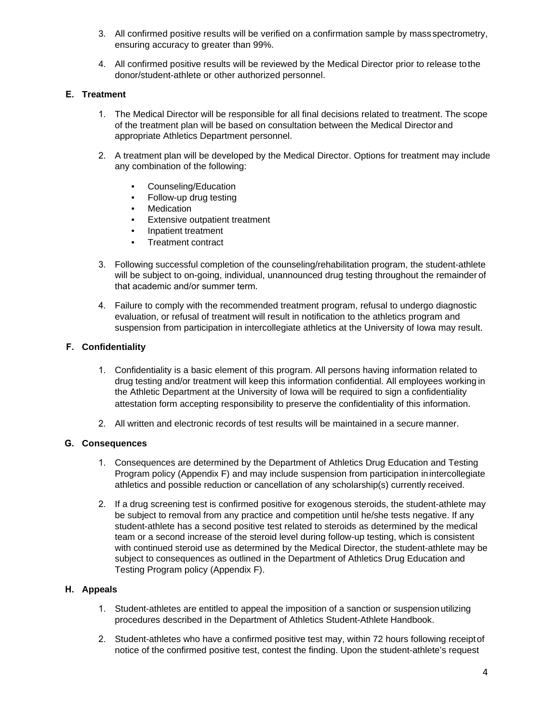- 3. All confirmed positive results will be verified on a confirmation sample by mass spectrometry, ensuring accuracy to greater than 99%.
- 4. All confirmed positive results will be reviewed by the Medical Director prior to release tothe donor/student-athlete or other authorized personnel.

### **E. Treatment**

- 1. The Medical Director will be responsible for all final decisions related to treatment. The scope of the treatment plan will be based on consultation between the Medical Director and appropriate Athletics Department personnel.
- 2. A treatment plan will be developed by the Medical Director. Options for treatment may include any combination of the following:
	- Counseling/Education
	- Follow-up drug testing
	- Medication
	- Extensive outpatient treatment
	- Inpatient treatment
	- Treatment contract
- 3. Following successful completion of the counseling/rehabilitation program, the student-athlete will be subject to on-going, individual, unannounced drug testing throughout the remainder of that academic and/or summer term.
- 4. Failure to comply with the recommended treatment program, refusal to undergo diagnostic evaluation, or refusal of treatment will result in notification to the athletics program and suspension from participation in intercollegiate athletics at the University of Iowa may result.

### **F. Confidentiality**

- 1. Confidentiality is a basic element of this program. All persons having information related to drug testing and/or treatment will keep this information confidential. All employees working in the Athletic Department at the University of Iowa will be required to sign a confidentiality attestation form accepting responsibility to preserve the confidentiality of this information.
- 2. All written and electronic records of test results will be maintained in a secure manner.

### **G. Consequences**

- 1. Consequences are determined by the Department of Athletics Drug Education and Testing Program policy (Appendix F) and may include suspension from participation inintercollegiate athletics and possible reduction or cancellation of any scholarship(s) currently received.
- 2. If a drug screening test is confirmed positive for exogenous steroids, the student-athlete may be subject to removal from any practice and competition until he/she tests negative. If any student-athlete has a second positive test related to steroids as determined by the medical team or a second increase of the steroid level during follow-up testing, which is consistent with continued steroid use as determined by the Medical Director, the student-athlete may be subject to consequences as outlined in the Department of Athletics Drug Education and Testing Program policy (Appendix F).

### **H. Appeals**

- 1. Student-athletes are entitled to appeal the imposition of a sanction or suspensionutilizing procedures described in the Department of Athletics Student-Athlete Handbook.
- 2. Student-athletes who have a confirmed positive test may, within 72 hours following receiptof notice of the confirmed positive test, contest the finding. Upon the student-athlete's request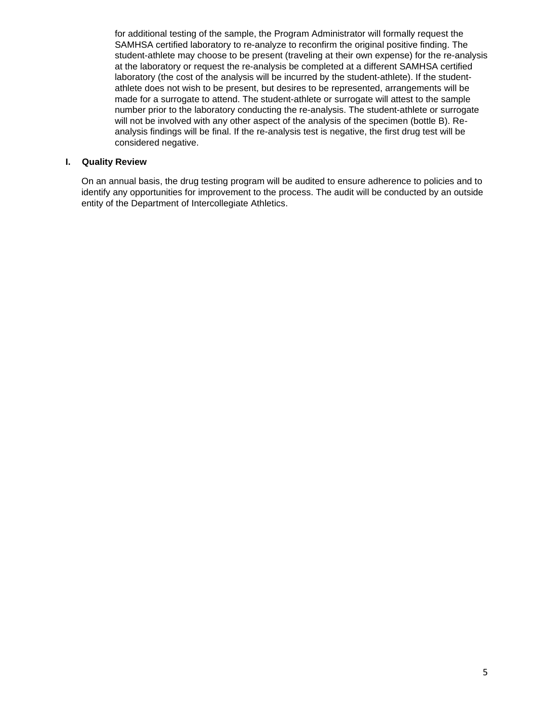for additional testing of the sample, the Program Administrator will formally request the SAMHSA certified laboratory to re-analyze to reconfirm the original positive finding. The student-athlete may choose to be present (traveling at their own expense) for the re-analysis at the laboratory or request the re-analysis be completed at a different SAMHSA certified laboratory (the cost of the analysis will be incurred by the student-athlete). If the studentathlete does not wish to be present, but desires to be represented, arrangements will be made for a surrogate to attend. The student-athlete or surrogate will attest to the sample number prior to the laboratory conducting the re-analysis. The student-athlete or surrogate will not be involved with any other aspect of the analysis of the specimen (bottle B). Reanalysis findings will be final. If the re-analysis test is negative, the first drug test will be considered negative.

#### **I. Quality Review**

On an annual basis, the drug testing program will be audited to ensure adherence to policies and to identify any opportunities for improvement to the process. The audit will be conducted by an outside entity of the Department of Intercollegiate Athletics.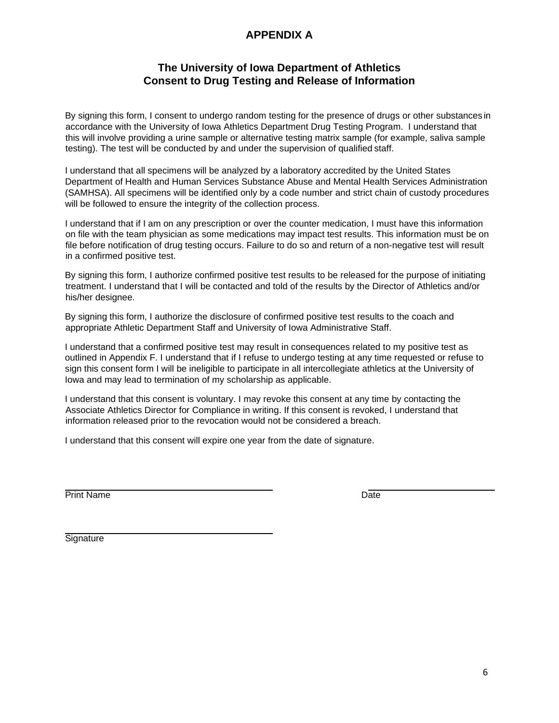# **APPENDIX A**

## **The University of Iowa Department of Athletics Consent to Drug Testing and Release of Information**

By signing this form, I consent to undergo random testing for the presence of drugs or other substances in accordance with the University of Iowa Athletics Department Drug Testing Program. I understand that this will involve providing a urine sample or alternative testing matrix sample (for example, saliva sample testing). The test will be conducted by and under the supervision of qualified staff.

I understand that all specimens will be analyzed by a laboratory accredited by the United States Department of Health and Human Services Substance Abuse and Mental Health Services Administration (SAMHSA). All specimens will be identified only by a code number and strict chain of custody procedures will be followed to ensure the integrity of the collection process.

I understand that if I am on any prescription or over the counter medication, I must have this information on file with the team physician as some medications may impact test results. This information must be on file before notification of drug testing occurs. Failure to do so and return of a non-negative test will result in a confirmed positive test.

By signing this form, I authorize confirmed positive test results to be released for the purpose of initiating treatment. I understand that I will be contacted and told of the results by the Director of Athletics and/or his/her designee.

By signing this form, I authorize the disclosure of confirmed positive test results to the coach and appropriate Athletic Department Staff and University of Iowa Administrative Staff.

I understand that a confirmed positive test may result in consequences related to my positive test as outlined in Appendix F. I understand that if I refuse to undergo testing at any time requested or refuse to sign this consent form I will be ineligible to participate in all intercollegiate athletics at the University of Iowa and may lead to termination of my scholarship as applicable.

I understand that this consent is voluntary. I may revoke this consent at any time by contacting the Associate Athletics Director for Compliance in writing. If this consent is revoked, I understand that information released prior to the revocation would not be considered a breach.

I understand that this consent will expire one year from the date of signature.

Print Name Date

**Signature**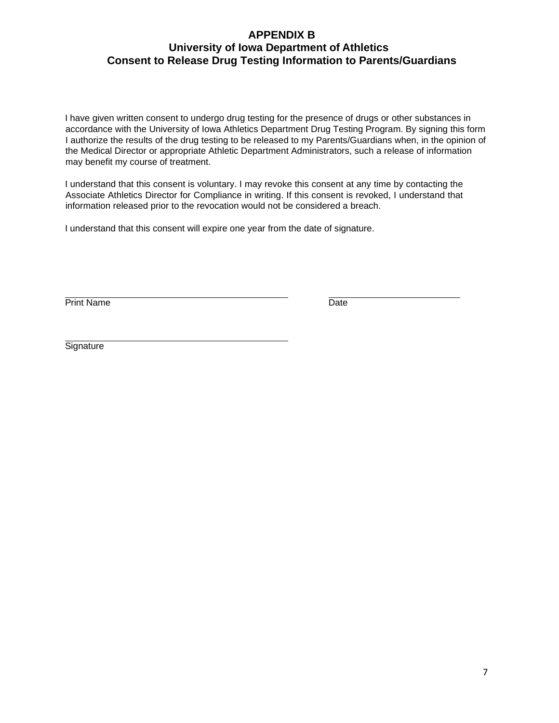## **APPENDIX B University of Iowa Department of Athletics Consent to Release Drug Testing Information to Parents/Guardians**

I have given written consent to undergo drug testing for the presence of drugs or other substances in accordance with the University of Iowa Athletics Department Drug Testing Program. By signing this form I authorize the results of the drug testing to be released to my Parents/Guardians when, in the opinion of the Medical Director or appropriate Athletic Department Administrators, such a release of information may benefit my course of treatment.

I understand that this consent is voluntary. I may revoke this consent at any time by contacting the Associate Athletics Director for Compliance in writing. If this consent is revoked, I understand that information released prior to the revocation would not be considered a breach.

I understand that this consent will expire one year from the date of signature.

Print Name Date

**Signature**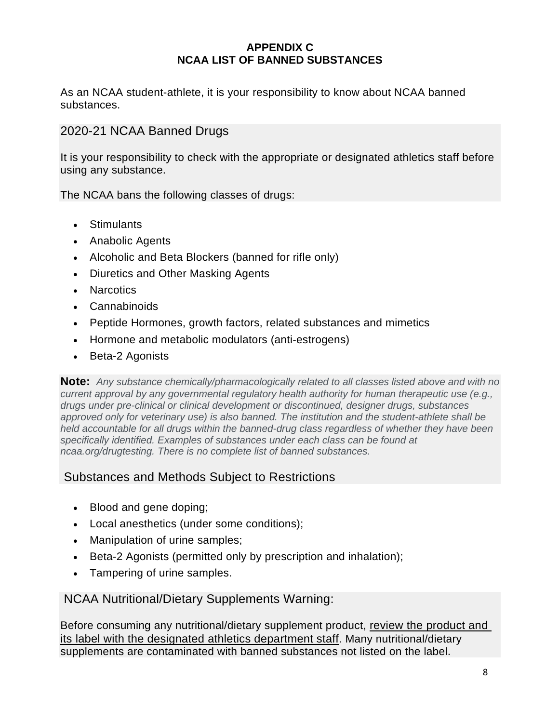### **APPENDIX C NCAA LIST OF BANNED SUBSTANCES**

As an NCAA student-athlete, it is your responsibility to know about NCAA banned substances.

# 2020-21 NCAA Banned Drugs

It is your responsibility to check with the appropriate or designated athletics staff before using any substance.

The NCAA bans the following classes of drugs:

- Stimulants
- Anabolic Agents
- Alcoholic and Beta Blockers (banned for rifle only)
- Diuretics and Other Masking Agents
- Narcotics
- Cannabinoids
- Peptide Hormones, growth factors, related substances and mimetics
- Hormone and metabolic modulators (anti-estrogens)
- Beta-2 Agonists

**Note:** *Any substance chemically/pharmacologically related to all classes listed above and with no current approval by any governmental regulatory health authority for human therapeutic use (e.g., drugs under pre-clinical or clinical development or discontinued, designer drugs, substances approved only for veterinary use) is also banned. The institution and the student-athlete shall be held accountable for all drugs within the banned-drug class regardless of whether they have been specifically identified. Examples of substances under each class can be found at ncaa.org/drugtesting. There is no complete list of banned substances.*

# Substances and Methods Subject to Restrictions

- Blood and gene doping;
- Local anesthetics (under some conditions);
- Manipulation of urine samples;
- Beta-2 Agonists (permitted only by prescription and inhalation);
- Tampering of urine samples.

NCAA Nutritional/Dietary Supplements Warning:

Before consuming any nutritional/dietary supplement product, review the product and its label with the designated athletics department staff. Many nutritional/dietary supplements are contaminated with banned substances not listed on the label.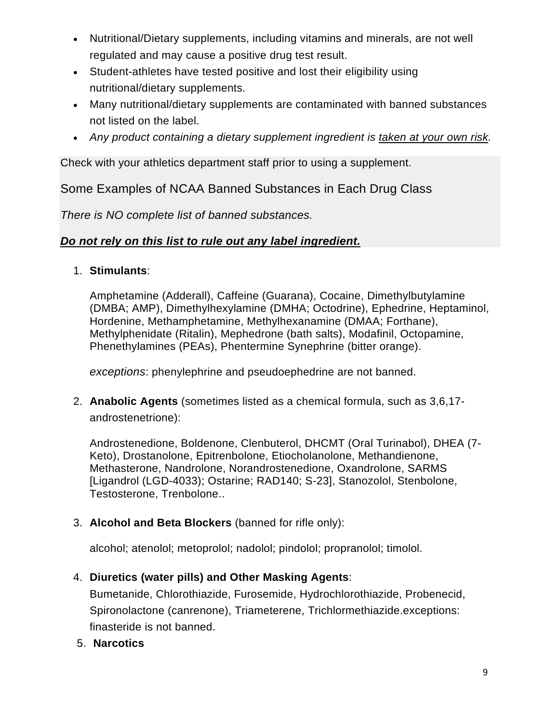- Nutritional/Dietary supplements, including vitamins and minerals, are not well regulated and may cause a positive drug test result.
- Student-athletes have tested positive and lost their eligibility using nutritional/dietary supplements.
- Many nutritional/dietary supplements are contaminated with banned substances not listed on the label.
- *Any product containing a dietary supplement ingredient is taken at your own risk.*

Check with your athletics department staff prior to using a supplement.

Some Examples of NCAA Banned Substances in Each Drug Class

*There is NO complete list of banned substances.*

# *Do not rely on this list to rule out any label ingredient.*

1. **Stimulants**:

Amphetamine (Adderall), Caffeine (Guarana), Cocaine, Dimethylbutylamine (DMBA; AMP), Dimethylhexylamine (DMHA; Octodrine), Ephedrine, Heptaminol, Hordenine, Methamphetamine, Methylhexanamine (DMAA; Forthane), Methylphenidate (Ritalin), Mephedrone (bath salts), Modafinil, Octopamine, Phenethylamines (PEAs), Phentermine Synephrine (bitter orange).

*exceptions*: phenylephrine and pseudoephedrine are not banned.

2. **Anabolic Agents** (sometimes listed as a chemical formula, such as 3,6,17 androstenetrione):

Androstenedione, Boldenone, Clenbuterol, DHCMT (Oral Turinabol), DHEA (7- Keto), Drostanolone, Epitrenbolone, Etiocholanolone, Methandienone, Methasterone, Nandrolone, Norandrostenedione, Oxandrolone, SARMS [Ligandrol (LGD-4033); Ostarine; RAD140; S-23], Stanozolol, Stenbolone, Testosterone, Trenbolone..

3. **Alcohol and Beta Blockers** (banned for rifle only):

alcohol; atenolol; metoprolol; nadolol; pindolol; propranolol; timolol.

# 4. **Diuretics (water pills) and Other Masking Agents**:

Bumetanide, Chlorothiazide, Furosemide, Hydrochlorothiazide, Probenecid, Spironolactone (canrenone), Triameterene, Trichlormethiazide.exceptions: finasteride is not banned.

5. **Narcotics**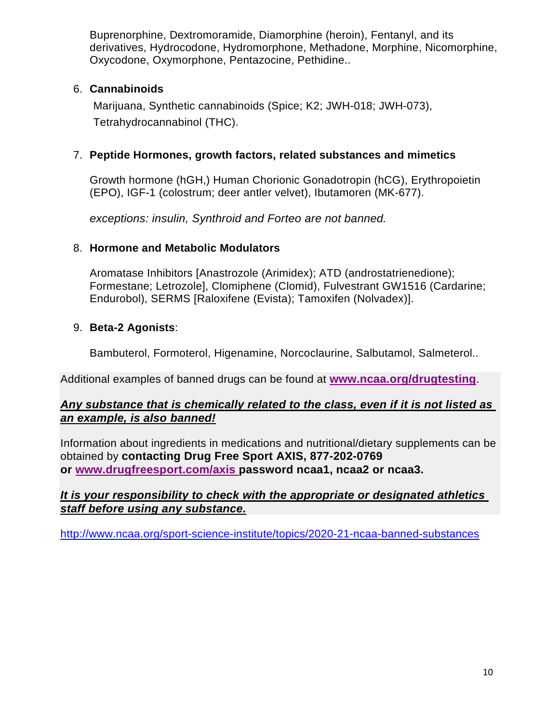Buprenorphine, Dextromoramide, Diamorphine (heroin), Fentanyl, and its derivatives, Hydrocodone, Hydromorphone, Methadone, Morphine, Nicomorphine, Oxycodone, Oxymorphone, Pentazocine, Pethidine..

# 6. **Cannabinoids**

Marijuana, Synthetic cannabinoids (Spice; K2; JWH-018; JWH-073), Tetrahydrocannabinol (THC).

# 7. **Peptide Hormones, growth factors, related substances and mimetics**

Growth hormone (hGH,) Human Chorionic Gonadotropin (hCG), Erythropoietin (EPO), IGF-1 (colostrum; deer antler velvet), Ibutamoren (MK-677).

*exceptions: insulin, Synthroid and Forteo are not banned.*

# 8. **Hormone and Metabolic Modulators**

Aromatase Inhibitors [Anastrozole (Arimidex); ATD (androstatrienedione); Formestane; Letrozole], Clomiphene (Clomid), Fulvestrant GW1516 (Cardarine; Endurobol), SERMS [Raloxifene (Evista); Tamoxifen (Nolvadex)].

# 9. **Beta-2 Agonists**:

Bambuterol, Formoterol, Higenamine, Norcoclaurine, Salbutamol, Salmeterol..

Additional examples of banned drugs can be found at **[www.ncaa.org/drugtesting](http://www.ncaa.org/drugtesting)**.

## *Any substance that is chemically related to the class, even if it is not listed as an example, is also banned!*

Information about ingredients in medications and nutritional/dietary supplements can be obtained by **contacting Drug Free Sport AXIS, 877-202-0769 or [www.drugfreesport.com/axis](https://gustavus.edu/athletics/handbook/Information%20about%20ingredients%20in%20medications%20and%20nutritional/dietary%20supplements%20can%20be%20obtained%20by%20contacting%20Drug%20Free%20Sport%20AXIS,%20877-202-0769%20or%20www.drugfreesport.com/axis%20password%20ncaa1,%20ncaa2%20or%20ncaa3.) password ncaa1, ncaa2 or ncaa3.**

## *It is your responsibility to check with the appropriate or designated athletics staff before using any substance.*

<http://www.ncaa.org/sport-science-institute/topics/2020-21-ncaa-banned-substances>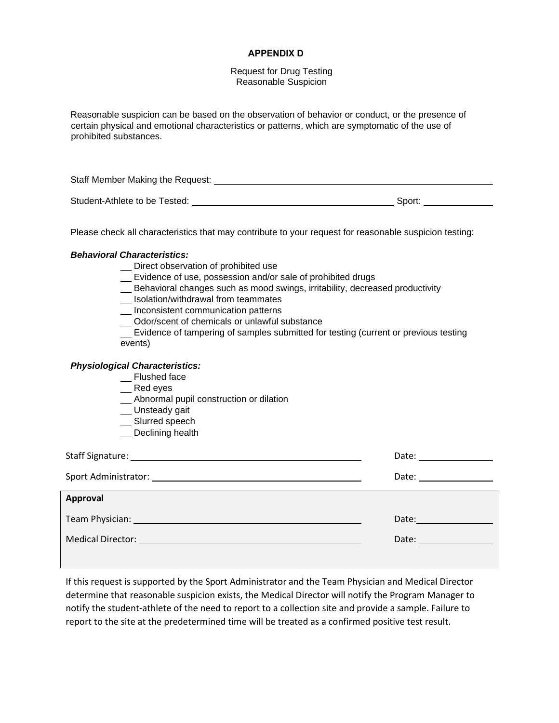#### **APPENDIX D**

Request for Drug Testing Reasonable Suspicion

Reasonable suspicion can be based on the observation of behavior or conduct, or the presence of certain physical and emotional characteristics or patterns, which are symptomatic of the use of prohibited substances.

Staff Member Making the Request: Student-Athlete to be Tested: Sport: Sport: Sport: Sport: Sport: Sport: Sport: Sport: Sport: Sport: Sport: Sport: Sport: Sport: Sport: Sport: Sport: Sport: Sport: Sport: Sport: Sport: Sport: Sport: Sport: Sport: Sport: Spo

Please check all characteristics that may contribute to your request for reasonable suspicion testing:

#### *Behavioral Characteristics:*

- \_ Direct observation of prohibited use
- Evidence of use, possession and/or sale of prohibited drugs
- Behavioral changes such as mood swings, irritability, decreased productivity
- **Industrian** Isolation/withdrawal from teammates
- **Inconsistent communication patterns**
- Odor/scent of chemicals or unlawful substance

Evidence of tampering of samples submitted for testing (current or previous testing events)

#### *Physiological Characteristics:*

- \_\_ Flushed face
- Red eyes
- Abnormal pupil construction or dilation
- \_\_ Unsteady gait
- \_\_ Slurred speech
- Declining health

|                                                                                                                                                                                                                                     | Date: <u>_________</u> |
|-------------------------------------------------------------------------------------------------------------------------------------------------------------------------------------------------------------------------------------|------------------------|
| Sport Administrator: No. 2014 19:30 19:30 19:30 19:30 19:30 19:30 19:30 19:30 19:30 19:30 19:30 19:30 19:30 19                                                                                                                      | Date: ________________ |
| Approval                                                                                                                                                                                                                            |                        |
| <b>Team Physician:</b> The Contract of the Contract of the Contract of the Contract of the Contract of the Contract of the Contract of the Contract of the Contract of the Contract of the Contract of the Contract of the Contract | Date:                  |
|                                                                                                                                                                                                                                     | Date: <u>_________</u> |
|                                                                                                                                                                                                                                     |                        |

If this request is supported by the Sport Administrator and the Team Physician and Medical Director determine that reasonable suspicion exists, the Medical Director will notify the Program Manager to notify the student-athlete of the need to report to a collection site and provide a sample. Failure to report to the site at the predetermined time will be treated as a confirmed positive test result.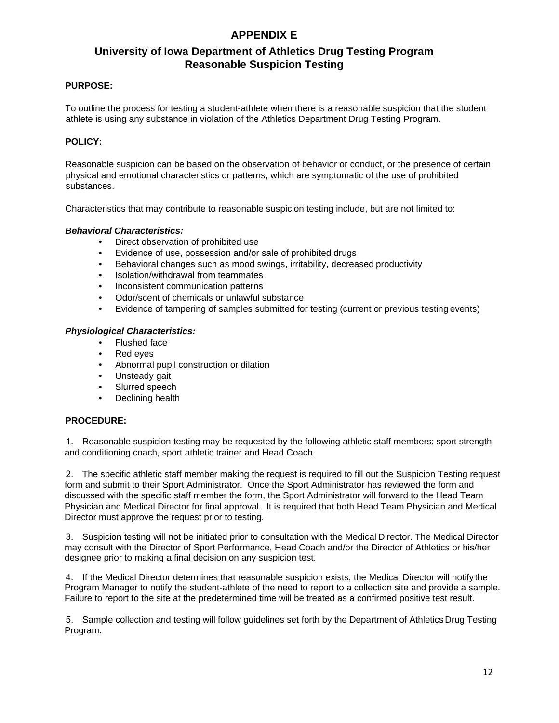## **APPENDIX E**

# **University of Iowa Department of Athletics Drug Testing Program Reasonable Suspicion Testing**

#### **PURPOSE:**

To outline the process for testing a student-athlete when there is a reasonable suspicion that the student athlete is using any substance in violation of the Athletics Department Drug Testing Program.

### **POLICY:**

Reasonable suspicion can be based on the observation of behavior or conduct, or the presence of certain physical and emotional characteristics or patterns, which are symptomatic of the use of prohibited substances.

Characteristics that may contribute to reasonable suspicion testing include, but are not limited to:

#### *Behavioral Characteristics:*

- Direct observation of prohibited use
- Evidence of use, possession and/or sale of prohibited drugs
- Behavioral changes such as mood swings, irritability, decreased productivity
- Isolation/withdrawal from teammates
- Inconsistent communication patterns
- Odor/scent of chemicals or unlawful substance
- Evidence of tampering of samples submitted for testing (current or previous testing events)

#### *Physiological Characteristics:*

- Flushed face
- Red eyes
- Abnormal pupil construction or dilation
- Unsteady gait
- Slurred speech
- Declining health

#### **PROCEDURE:**

1. Reasonable suspicion testing may be requested by the following athletic staff members: sport strength and conditioning coach, sport athletic trainer and Head Coach.

2. The specific athletic staff member making the request is required to fill out the Suspicion Testing request form and submit to their Sport Administrator. Once the Sport Administrator has reviewed the form and discussed with the specific staff member the form, the Sport Administrator will forward to the Head Team Physician and Medical Director for final approval. It is required that both Head Team Physician and Medical Director must approve the request prior to testing.

3. Suspicion testing will not be initiated prior to consultation with the Medical Director. The Medical Director may consult with the Director of Sport Performance, Head Coach and/or the Director of Athletics or his/her designee prior to making a final decision on any suspicion test.

4. If the Medical Director determines that reasonable suspicion exists, the Medical Director will notify the Program Manager to notify the student-athlete of the need to report to a collection site and provide a sample. Failure to report to the site at the predetermined time will be treated as a confirmed positive test result.

5. Sample collection and testing will follow guidelines set forth by the Department of Athletics Drug Testing Program.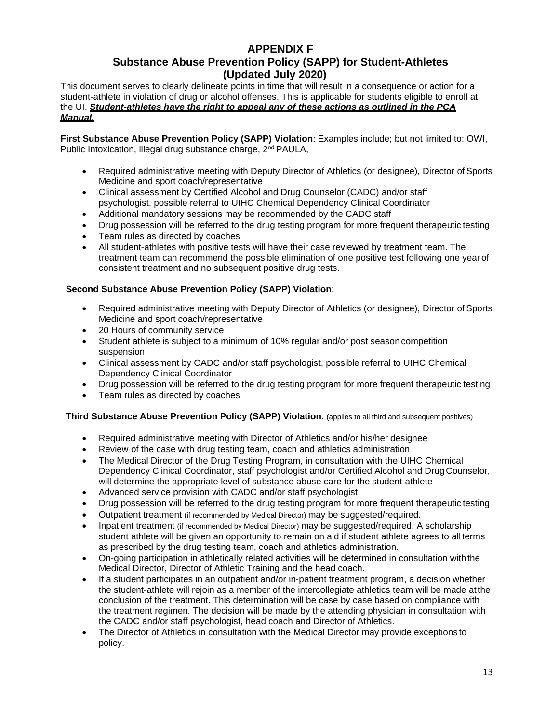### **APPENDIX F Substance Abuse Prevention Policy (SAPP) for Student-Athletes (Updated July 2020)**

This document serves to clearly delineate points in time that will result in a consequence or action for a student-athlete in violation of drug or alcohol offenses. This is applicable for students eligible to enroll at the UI. *Student-athletes have the right to appeal any of these actions as outlined in the PCA Manual.*

**First Substance Abuse Prevention Policy (SAPP) Violation**: Examples include; but not limited to: OWI, Public Intoxication, illegal drug substance charge, 2<sup>nd</sup> PAULA,

- Required administrative meeting with Deputy Director of Athletics (or designee), Director of Sports Medicine and sport coach/representative
- Clinical assessment by Certified Alcohol and Drug Counselor (CADC) and/or staff psychologist, possible referral to UIHC Chemical Dependency Clinical Coordinator
- Additional mandatory sessions may be recommended by the CADC staff
- Drug possession will be referred to the drug testing program for more frequent therapeutic testing
- Team rules as directed by coaches
- All student-athletes with positive tests will have their case reviewed by treatment team. The treatment team can recommend the possible elimination of one positive test following one year of consistent treatment and no subsequent positive drug tests.

### **Second Substance Abuse Prevention Policy (SAPP) Violation**:

- Required administrative meeting with Deputy Director of Athletics (or designee), Director of Sports Medicine and sport coach/representative
- 20 Hours of community service
- Student athlete is subject to a minimum of 10% regular and/or post seasoncompetition suspension
- Clinical assessment by CADC and/or staff psychologist, possible referral to UIHC Chemical Dependency Clinical Coordinator
- Drug possession will be referred to the drug testing program for more frequent therapeutic testing
- Team rules as directed by coaches

### **Third Substance Abuse Prevention Policy (SAPP) Violation**: (applies to all third and subsequent positives)

- Required administrative meeting with Director of Athletics and/or his/her designee
- Review of the case with drug testing team, coach and athletics administration
- The Medical Director of the Drug Testing Program, in consultation with the UIHC Chemical Dependency Clinical Coordinator, staff psychologist and/or Certified Alcohol and Drug Counselor, will determine the appropriate level of substance abuse care for the student-athlete
- Advanced service provision with CADC and/or staff psychologist
- Drug possession will be referred to the drug testing program for more frequent therapeutic testing
- Outpatient treatment (if recommended by Medical Director) may be suggested/required.
- Inpatient treatment (if recommended by Medical Director) may be suggested/required. A scholarship student athlete will be given an opportunity to remain on aid if student athlete agrees to all terms as prescribed by the drug testing team, coach and athletics administration.
- On-going participation in athletically related activities will be determined in consultation withthe Medical Director, Director of Athletic Training and the head coach.
- If a student participates in an outpatient and/or in-patient treatment program, a decision whether the student-athlete will rejoin as a member of the intercollegiate athletics team will be made atthe conclusion of the treatment. This determination will be case by case based on compliance with the treatment regimen. The decision will be made by the attending physician in consultation with the CADC and/or staff psychologist, head coach and Director of Athletics.
- The Director of Athletics in consultation with the Medical Director may provide exceptions to policy.